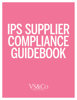# IPS SUPPLIER COMPLIANCE GUIDEBOOK

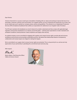#### Dear Partner,

Victoria's Secret & Co.'s success is built upon a foundation of leading with our values and working to improve the lives of our associates, customers, partners and communities. As a supplier partner, you are a respected and valued part of our team, and we are reliant upon you to uphold our company values, policies and guidelines. This extends to our Independent Production Services (IPS) Compliance Guidebook that codifies our expectations for adherence to our Supplier Code of Conduct.

The IPS team maintains the Guidebook as a tool to help all of us better understand and fully comply with applicable legal, regulatory and business standards for our industry around the globe – outlining clear expectations on labor standards and workplace conditions, brand protection, trade compliance and supply chain security.

As a global company, we are committed to engaging with suppliers who respect human rights, provide safe and inclusive workplaces and promote environmentally sustainable practices. We believe that relationships based on transparency, collaboration and mutual respect are integral to making this happen.

We're committed to our supply chain to ensure human rights are protected. This is a top priority for us, and we are truly appreciative of your partnership in upholding this commitment each and every day.

With respect,

Martin

*Martin Waters, Chief Executive Officer VS&Co & Victoria's Secret*

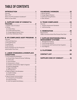# TABLE OF CONTENTS

| <b>INTRODUCTION</b> 1                  |
|----------------------------------------|
|                                        |
|                                        |
| What is the IPS Compliance Guidebook?1 |
|                                        |

## **[A. SUPPLIER CODE OF CONDUCT &](#page-4-0)**

| 2c. Foreign Migrant Worker Policy  5 |  |
|--------------------------------------|--|
|                                      |  |

#### **[B. IPS COMPLIANCE AUDIT PROGRAM . .](#page-10-0) 8**

| <b>Factory Evaluation for Pre-Production</b> |  |
|----------------------------------------------|--|
|                                              |  |

#### **[C. LABOR STANDARDS & WORKPLACE](#page-13-0)  CONDITIONS 11**

| 1a. Forced Labor, Slavery & Human Trafficking 11 |
|--------------------------------------------------|
|                                                  |
|                                                  |
| 1d. Harassment or Abuse14                        |
| 1e. Freedom of Association, Right to Organize    |
|                                                  |
|                                                  |
|                                                  |
| 2. Health & Safety in the Workplace 17           |
|                                                  |
|                                                  |
| 3. Open & Honest Communication  20               |
|                                                  |
|                                                  |
| 3c. Anti-Corruption/Anti-Bribery21               |
|                                                  |

| <b>VULNERABLE WORKERS  22</b> |
|-------------------------------|
|                               |
|                               |
|                               |
|                               |
|                               |

## **[D. TRADE COMPLIANCE . . . . . . . . . . . . . . . . . 24](#page-26-0)**

| 1. Program Assessment Standards  24 |  |
|-------------------------------------|--|
|                                     |  |

## **[E. REMEDIATION . . . . . . . . . . . . . . . . . . . . . . . . . .](#page-27-0) 25**

| VS&Co Corrective Action Plan Process Flow Chart  26 |  |
|-----------------------------------------------------|--|

#### **[F. SUPPLIER RESPONSIBILITIES &](#page-29-0)  [MANAGEMENT SYSTEMS . . . . . . . . . . . . . . . .](#page-29-0) 27**

| 3. Communicate with Factories & Sub-Suppliers  28 |  |
|---------------------------------------------------|--|
|                                                   |  |
|                                                   |  |
| G. PLATFORMS 29                                   |  |
|                                                   |  |
|                                                   |  |
| <b>CONTACT LIST30</b>                             |  |
|                                                   |  |

|  | <b>SUPPLIER CODE OF CONDUCT 31</b> |
|--|------------------------------------|
|  |                                    |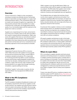# <span id="page-3-0"></span>INTRODUCTION

#### **Overview**

Victoria's Secret & Co. (VS&Co) is fully committed to ensuring our products are ethically sourced. Partnerships based on responsible sourcing strengthen our supply chain and the businesses within it. This commitment starts with our leaders and cascades throughout our organization. We hold ourselves and each other accountable to our values in all that we do. In that spirit, we strongly believe that the quality of our merchandise begins with the treatment of the people who create our products.

Suppliers are a respected part of our team, and we look to you to live to our company values as well, which are reflected in specific company policies and guidelines. VS&Co only works with suppliers that share our commitment to ethical and responsible business practices. This commitment is embedded in the many measures by which we evaluate supplier partners and has been part of our comprehensive and proprietary approach to how we do business for decades.

### **Who is IPS?**

Independent Production Services (IPS) is a function within VS&Co that works with suppliers to ensure goods are sourced from factories that meet or exceed VS&Co's compliance standards and policies. IPS is responsible for monitoring and enforcing VS&Co's social compliance program and has been supporting global compliance for more than two decades, enabling improvement in working conditions, supply chain security, trade compliance and brand protection in our supply chain through monitoring, remediation, capacity building and training.

IPS defines "supplier" as the vendor or partner who has signed the Master Sourcing Agreement (MSA) directly with VS&Co.

#### **What is the IPS Compliance Guidebook?**

The IPS Compliance Guidebook (Guidebook) includes a set of mandatory requirements which all our suppliers as well as their factories, sub-suppliers and subcontractors need to meet to be able to do business with VS&Co. We encourage our suppliers to move from the mandatory requirements to industry best practices whenever possible.

VS&Co suppliers must sign the MSA before VS&Co can issue purchase orders and the supplier can begin producing our products. The MSA states that suppliers must comply with VS&Co policies, which includes the Guidebook – a collection of policies and all applicable laws and regulations.

The Guidebook does not replace the local laws of each country where suppliers and factories are located. If our compliance standards differ from local laws, we expect our suppliers to follow the stricter standard. Each supplier and factory should be familiar with and comply with all laws and regulations relevant to their business.

If we discover that a supplier or factory is not in compliance [with local laws and/or our standards and policies], we will partner with them to bring them into compliance. We are committed to continuous improvement and will not partner with suppliers and factories that are unwilling or unable to work with us to achieve compliance.

IPS expects suppliers and factories to refer to this Guidebook when they have questions about VS&Co standards, the IPS compliance audit process, or want to better understand how to partner and communicate with IPS. If you have any questions that are not answered by reviewing the Guidebook and referring to local laws, please contact IPS for guidance.

## **Where to Learn More**

IPS is committed to supplier education and hosts annual awareness and training sessions on compliance standards in multiple countries around the world or virtually when in person trainings are not possible. The training sessions are for suppliers and associates who have direct responsibility for supply chain management. We also use one-on-one training along with compliance audits and corrective action management to continuously educate factories and reinforce VS&Co's Supplier Code of Conduct and compliance standards.

To learn more about IPS and our compliance programs and standards, please visit IPS' website at **[http://ips.steton.com](http://ips.steton.com/)** or contact IPS directly by referring to the Contacts section within this Guidebook.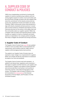# <span id="page-4-0"></span>A. SUPPLIER CODE OF CONDUCT & POLICIES

VS&Co has a longstanding commitment of working with suppliers to improve manufacturing conditions and minimizing negative impacts to workers, local communities and the environment. We align ourselves only with suppliers that share this commitment. As the industry evolves and new issues arise, standards for brands and retailers are raised. Therefore, VS&Co continuously reviews internal policies to align with industry standards and best practices. In recent years we have evolved our standards and programs to drive improved outcomes for the workers in the supply chain and the communities where our suppliers operate. VS&Co has a Supplier Code of Conduct and important policies in place to guide our suppliers to meet our standards and clearly specify our expectations. Our company policies and guidelines help us mitigate risk and build trust among consumers.

## **1. Supplier Code of Conduct**

The Supplier Code of Conduct (see **[page 38](#page-33-0)**) was updated in 2021 to more accurately reflect current standards and requirements, and to enhance value for VS&Co and our suppliers while leveraging industry best practices.

The update to our Supplier Code of Conduct does not represent a major change in our requirements for suppliers. Rather, the changes elevate key expectations to emphasize the depth of our work and standards.

The Supplier Code of Conduct sets forth standards – in addition to all relevant laws, regulations and conventions – that apply to suppliers and their factories, sub-suppliers and subcontractors. Suppliers must adhere to these standards and communicate them to all workers in all countries in which they operate, in the preferred language(s) of the workers. The Supplier Code of Conduct is based on core ILO Conventions (**[ILO Conventions](https://www.ilo.org/global/standards/introduction-to-international-labour-standards/conventions-and-recommendations/lang--en/index.htm)**), the Universal Declaration of Human Rights, and Principles 1-6 of the UN Global Compact.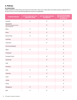## <span id="page-5-0"></span>**2. Policies**

#### **2a. Cotton Policy**

VS&Co updated its Cotton Policy and requires all cotton fiber, cotton yarn, cotton fabric and cotton products originate from or be spun in one or more of the following approved countries as designated:

| <b>COUNTRY/REGION</b>                                                 | <b>COTTON FIBER MAY ONLY</b><br><b>ORIGINATE FROM:</b> | <b>COTTON YARN SPINNING</b><br><b>ALLOWED IN:</b> | <b>COTTON PROCESSING1</b><br><b>AND MANUFACTURING</b><br><b>ALLOWED IN:</b> |
|-----------------------------------------------------------------------|--------------------------------------------------------|---------------------------------------------------|-----------------------------------------------------------------------------|
| Australia                                                             | $\checkmark$                                           | $\checkmark$                                      | $\checkmark$                                                                |
| Bangladesh<br>(Note: Only designated facilities<br>upon IPS approval) |                                                        | $\checkmark$                                      | $\checkmark$                                                                |
| Benin                                                                 | $\checkmark$                                           | $\checkmark$                                      | $\checkmark$                                                                |
| <b>Brazil</b>                                                         | $\checkmark$                                           | $\checkmark$                                      | $\checkmark$                                                                |
| Burkina Faso                                                          | $\checkmark$                                           | $\checkmark$                                      | $\checkmark$                                                                |
| Colombia                                                              |                                                        | $\checkmark$                                      | $\checkmark$                                                                |
| Costa Rica                                                            |                                                        | $\checkmark$                                      | $\checkmark$                                                                |
| Dominican Republic                                                    |                                                        |                                                   | $\checkmark$                                                                |
| Egypt                                                                 | $\checkmark$                                           | $\checkmark$                                      | $\checkmark$                                                                |
| El Salvador                                                           |                                                        |                                                   | $\checkmark$                                                                |
| European Union <sup>2</sup>                                           |                                                        | $\checkmark$                                      | $\checkmark$                                                                |
| Guatemala                                                             |                                                        | $\checkmark$                                      | $\checkmark$                                                                |
| Haiti                                                                 |                                                        |                                                   | $\checkmark$                                                                |
| Honduras                                                              |                                                        | $\checkmark$                                      | $\checkmark$                                                                |
| India                                                                 | $\checkmark$                                           | $\checkmark$                                      | $\checkmark$                                                                |
| Indonesia                                                             |                                                        | $\checkmark$                                      | $\checkmark$                                                                |
| Israel                                                                | $\checkmark$                                           | $\checkmark$                                      | $\checkmark$                                                                |
| Jordan                                                                |                                                        |                                                   | $\checkmark$                                                                |
| Kenya                                                                 |                                                        |                                                   | $\checkmark$                                                                |
| Madagascar                                                            | $\checkmark$                                           | $\checkmark$                                      | $\checkmark$                                                                |
| Mali                                                                  | $\checkmark$                                           | $\checkmark$                                      | $\checkmark$                                                                |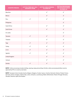| <b>COUNTRY/REGION</b> | <b>COTTON FIBER MAY ONLY</b><br><b>ORIGINATE FROM:</b> | <b>COTTON YARN SPINNING</b><br><b>ALLOWED IN:</b> | <b>COTTON PROCESSING1</b><br><b>AND MANUFACTURING</b><br><b>ALLOWED IN:</b> |
|-----------------------|--------------------------------------------------------|---------------------------------------------------|-----------------------------------------------------------------------------|
| Mauritius             |                                                        | $\checkmark$                                      | $\checkmark$                                                                |
| Mexico                |                                                        | $\checkmark$                                      | $\checkmark$                                                                |
| Peru                  | $\checkmark$                                           | $\checkmark$                                      | $\checkmark$                                                                |
| Philippines           |                                                        |                                                   | $\checkmark$                                                                |
| South Africa          |                                                        | $\checkmark$                                      | $\checkmark$                                                                |
| South Korea           |                                                        | $\checkmark$                                      | $\checkmark$                                                                |
| Sri Lanka             |                                                        |                                                   | $\checkmark$                                                                |
| Tanzania              | $\checkmark$                                           | $\checkmark$                                      | $\checkmark$                                                                |
| Thailand              |                                                        | $\checkmark$                                      | $\checkmark$                                                                |
| Togo                  | $\checkmark$                                           | $\checkmark$                                      | $\checkmark$                                                                |
| Turkey                | $\checkmark$                                           | $\checkmark$                                      | $\checkmark$                                                                |
| U.S.A.                | $\checkmark$                                           | $\checkmark$                                      | $\checkmark$                                                                |
| Uganda                | $\checkmark$                                           | $\checkmark$                                      | $\checkmark$                                                                |
| United Kingdom        |                                                        | $\checkmark$                                      | $\checkmark$                                                                |
| Vietnam               |                                                        | $\checkmark$                                      | $\checkmark$                                                                |
| Zambia                | $\checkmark$                                           | $\checkmark$                                      | $\checkmark$                                                                |

**NOTE1** : Cotton processing includes knitting, weaving, dying and printing. All other cotton processing facilities must be approved by IPS on a case by case basis.

**NOTE2**: European Union Includes Austria, Belgium, Bulgaria, Croatia, Cyprus, Czechia, Denmark, Estonia, Finland, France, Germany, Greece, Hungary, Ireland, Italy, Latvia, Lithuania, Luxembourg, Malta, Netherlands, Poland, Portugal, Romania, Slovakia, Slovenia, Spain And Sweden.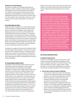#### <span id="page-7-0"></span>**Verification and Due Diligence**

We expect our suppliers to undertake appropriate due diligence to confirm compliance with this policy. Suppliers are required to retain all documentation for the origin of raw materials, processing and manufacturing to ensure transparency and traceability of our cotton supply chain. Independent Production Services (IPS) may conduct chain of custody audits to verify cotton fiber, cotton yarn, cotton fabric and cotton product originated from an approved country.

#### **2b. Conflict Minerals Policy**

VS&Co prohibits its suppliers from using conflict minerals which may directly or indirectly finance or benefit armed groups in the Democratic Republic of the Congo and its adjoining countries in accordance with the Dodd-Frank Conflict Minerals Provisions. According to U.S. federal law (Dodd-Frank Act, Section 1502), all U.S. public companies, including VS&Co, are required to perform a country of origin (COO) investigation for any 3TG (tin, tantalum, tungsten and gold) in their products, including whether sourcing of those metals may have benefited non-state armed groups in the Democratic Republic of Congo (DRC) or its nine adjoining countries (collectively known as the "DRC+9").

We require our suppliers to retain records related to conflict minerals supply chain inquiries for a minimum of five years and make them available to VS&Co or its designee during audits or upon request. This includes but is not limited to declarations from sub-suppliers, purchasing records, and other supporting documents to substantiate where the 3TG material originated.

#### **2c. Foreign Migrant Worker Policy**

The Supplier Code of Conduct states that forced, prison, indentured, bonded, and slave labor as well as labor obtained through human trafficking are prohibited throughout our supply chain. Foreign migrant workers who travel across country borders to obtain employment are most vulnerable to modern slavery. Therefore, we have established a policy to ensure that we minimize any risk of modern slavery in our supply chain. The policy requires an executive approval process to use a factory that employs foreign migrant workers. Approval will be contingent on positive results found during a specialized audit developed in accordance with the International Labour Organization's Handbook on Combatting Forced Labour (**[ILO Handbook](https://www.ilo.org/global/topics/forced-labour/publications/WCMS_101171/lang--en/index.htm)**). Factories that employ foreign migrant workers are closely monitored to ensure workers are treated in accordance with the law and do not pay for their employment nor incur debt related to their recruitment or hiring process.

Workers must retain control of their travel documents, have freedom of movement and be informed on the basic terms of their employment before leaving their home country/ region.

*The United States Securities and Exchange Commission (SEC) adopted the Conflict Minerals rule in 2012 as a result of Section 1502 of the Dodd-Frank Act. The goal of the rule is to end violence and human rights abuses perpetrated by armed groups during the extraction of natural resources in the Democratic Republic of Congo (DRC). The natural resources most often involved in these atrocities are tin, tantalum, tungsten, and gold (3TG). These minerals and their derivatives are commonly known as "conflict minerals" when they originate in the DRC or its nine adjoining countries (DRC+9) and their extraction contributes to the conflict in the DRC. This rule requires U.S. companies like VS&Co to determine if their products contain 3TG that is necessary to the product's function or production and disclose whether those minerals were sourced from the DRC+9.*

#### **2d. 24-Hour Notification Policy**

#### **Compliance Requirements**

As part of our due diligence and risk assessment, certain practices at factories are identified as elevated risk and require immediate notification to IPS within 24 hours. They may be identified by a factory, supplier, auditor, VS&Co associate or any other actor that identifies such practices. The practices considered elevated risk are the following:

- **1. Forced Labor, Slavery & Human Trafficking**
	- Forced, prison, indentured, bonded, and slave labor as well as labor obtained through human trafficking
	- Deposits or recruitment fees being paid by workers
	- Workers paying a fee or deposit to secure a job
	- Employers retaining workers' personal identity documents or lack of freedom of movement
	- Workers not being allowed to legally terminate their contracts or termination results in an illegal penalty
	- Factories using un-registered or illegal labor agencies
	- Labor contracts not meeting legal requirements
	- Workers not receiving a copy of their labor contracts in their preferred language before leaving their home country/region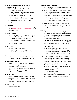- **2. Freedom of Association, Right to Organize & Collective Bargaining**
	- Workers' rights to freedom of association and collective bargaining not being respected
	- Workers not being able to join a union or bargain freely in the factory where legally allowed to do so
	- Union activities not being allowed or not being recognized by the employer
	- Union members being discriminated, intimidated, or terminated because of a legal union affiliation or organizing efforts

#### **3. Child Labor**

• Workers not being the local minimum legal working age or **[International Labour Organization](https://www.ilo.org/)** standard, whichever is higher

#### **4. Wages & Benefits**

- Workers not being paid the minimum wage, not being compensated for all overtime worked and not being provided benefits as stipulated by local laws
- Workers not being able to control withdrawals from their bank accounts
- Pay day being 30 days late

#### **5. Hours of Work**

- Workers unable to refuse overtime
- Workers raising concerns of being penalized or facing retaliation/retribution when they refuse overtime

#### **6. Discrimination**

• Discrimination in employment, including hiring, compensation, advancement, termination or discipline

#### **7. Harassment or Abuse**

- Harassment or abuse or workers not being treated with respect and dignity
- Employers using threat of violence
- Workers raising concerns about being uncomfortable while authorized personnel of any gender conduct physical security searches

#### **8. Health & Safety**

- Health and safety violations including workplace accidents that result in serious injury, illness or death
- Fire at a factory site
- No separation of men and women in dormitory rooms

#### **9. Subcontracting**

• Unauthorized subcontracting

#### **10. Transparency & Traceability**

- Worker/payroll records not being available during an audit or being inaccurate
- More than 10% of payroll records not being available during an audit or a finding of inconsistent records
- A situation of our company representative, subcontractors and authorized agents not given unrestricted access to all workers, production facilities and dormitories, and not being granted access to all relevant records related to production facilities and sub-suppliers, whether or not notice is provided in advance
- Factories not having a system in place or documentation to support worker was eligible to work in the country where the factory is located

#### **11. Other**

- Bribes or anything of value are offered, gifted, authorized, requested, accepted or received to improperly influence someone or gain an improper advantage
- Supplier dropping a factory for labor standards issues raised by another client
- Suspected violations of laws and regulations or labor standards including, but not limited to, United States laws and/or regulations relating to the country of origin or country of destination of goods produced for or sold to VS&Co
- "Suspected violations" shall be interpreted broadly to include all facts and circumstances that suggest any significant possibility that a violation of any law or regulation or labor standard has occurred or will occur
- If a governmental or non-governmental agency, United States or otherwise, begins an investigation or inquiry into the supplier or its factories or subcontractors that relates to issues arising under laws and regulations or labor standards
- Confirmed supply chain security incident where a security seal was broken and there is evidence that container was entered, regardless of whether product was removed or not
- Theft or diversion of VS&Co goods
- Workers or their supporters make public demands such as demonstrations, internet campaigns, letter writing campaigns, strikes, work stoppage, etc.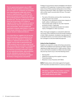*The U.S. government passed a law in 2016 called the Trade Facilitation and Enforcement Act. As a result, U.S. companies are prohibited from importing goods made with convict, forced or indentured labor. In 2017, the U.S. government passed an additional law called the Countering America's Adversaries Through Sanctions Act. This law recognizes that North Korea has forced many of its citizens to migrate to China or other countries to work in certain factories; the U.S. government views this as forced labor. The law prohibits the importation of goods made wholly or in part by North Korean nationals or citizens working as convict, forced or indentured laborers.*

*It is critical that our suppliers do not use any kind of forced labor in the production of our goods or use raw materials or components made by or obtained with forced labor. The supplier must be able to demonstrate that VS&Co products were not made using forced labor by providing documentation including but not limited to a factory profile, a description of production processes performed, support for raw materials purchases, daily production records, attendance and payroll records, worker contracts and documents to support the factory's hiring process and policies.*

Findings of such practices require investigation and internal escalation to IPS Leadership. In instances when a supplier is aware of any of these practices taking place at one of their factories producing for VS&Co, the supplier must notify IPS with a written report via email within 24 hours. The report must include:

- The name of the factory and any other manufacturing facility involved in the incident
- The status of any individuals involved when integrity of health, safety or wellbeing are a factor
- The purchase order number for any order impacted during the incident, if applicable
- A description of the potential elevated risk incident, inquiry, investigation or other occurrence

After a thorough investigation is conducted to determine root causes of the violation(s) found and overall compliance of other VS&Co standards, remediation may take place if it is decided the factory can remain active for VS&Co production contingent on executive leadership approval.

#### **Action for Non-Compliance**

Suppliers are required to comply with all laws and policies listed in this Guidebook and respond to all VS&Co requests regarding any legal requirement or VS&Co policies. Failure to do so will result in escalation to VS&Co executive leadership and may result in any or all of the following actions.

- Warning letter
- Additional monitoring at the supplier's expense
- Financial penalties
- Reduction or loss of business with VS&Co

**NOTE:** Penalty actions will be taken against the Supplier at IPS' discretion and determined on a case-by-case basis.

*IPS defines "supplier" as the vendor or partner who has signed the Master Sourcing Agreement (MSA) directly with VS&Co*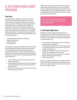# <span id="page-10-0"></span>B. IPS COMPLIANCE AUDIT PROGRAM

#### **Overview**

Improving factory conditions is a critical element of our overall commitment to global compliance, as well as a commitment to strong corporate governance and ethical business practices. To that end, we have a comprehensive internal audit program managed by IPS. Suppliers are expected to comply with our standards and observe all relevant laws, regulations and conventions in all countries where they and their factories operate. IPS or our designated third-party auditor is responsible for verifying that the supplier and its factories meet compliance standards in the four areas listed below:

- Labor Standards and Workplace Conditions
- Supply Chain Security
- Trade Compliance
- Brand Protection

Each supplier is required to sign VS&Co's MSA, which states that the supplier's factories and subcontractors involved in producing goods for VS&Co must cooperate fully in any audit or other review. Factories must give auditors full access to the facility being audited and provide all required documents for review. IPS or our third-party auditor has the right at any time to:

- 1. Conduct audits at the location where product manufacturing takes place
- 2. Conduct capacity monitoring or any other compliance review at any facility doing any type of production for VS&Co products
- 3. Inspect any or all documents or other records required to be maintained or provided

VS&Co's normal practice is to bear the cost of initial and annual audits and not pass the cost on to our suppliers. However, suppliers will be charged for the audit if a factory is dropped after the audit is already confirmed, or in cases when repeated violations or elevated risk issues are identified during subsequent audits.

*IPS reserves the right to conduct audits on an announced, semi-unannounced or unannounced basis.*

### **1. IPS Audit Objectives**

IPS' goal is to support ongoing compliance with our standards and show factories how operating in a socially responsible way can improve their business. IPS does not aim to pass or fail a factory audit, rather, the objectives of our audit program are to:

- Assess whether potential new factories are capable of complying with our standards
- Ensure that existing factories continue to comply with our standards and work to continuously improve their compliance performance
- Identify non-compliance with VS&Co standards and relevant laws, regulations and conventions
- Assess a factory's compliance level in each audit area
- Detect unauthorized subcontracting
- Identify best practices

We also use audits to validate that our suppliers and their factories are being transparent and expect that only complete and accurate documentation be presented during an audit or other type of review.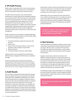#### <span id="page-11-0"></span>**2. IPS Audit Process**

Audits may be conducted by IPS or one of our third-party audit partners. Audits may consist of any combination of the four areas listed in the previous Overview section.

All audits may be announced, semi-unannounced or unannounced. A specific date will be scheduled in advance of an announced audit. IPS will provide a two-week window for semi-unannounced audits. If an audit is unannounced, IPS or the assigned third-party auditor will arrive with identification to show they are from IPS or one of our third-party audit partners. In addition, the auditor will bring a signed letter notifying the factory of the unannounced audit and the telephone number of IPS management should the factory want to contact IPS to confirm the audit arrangement.

Audits may take one or more days to complete depending on the areas to be audited and the size of the facility. Audits consist of the following procedures:

- 1. An opening meeting to explain the areas the audit will cover
- 2. A factory tour
- 3. Review of any documents, photos or other records needed to verify compliance requirements
- 4. Worker interviews\*
- 5. A closing meeting to review any audit findings

Supplier partners are encouraged to join audits along with the factory management and the factory compliance manager.

\* During a labor standards audit, the audits performed by assigned third-party auditors include worker interviews in the workers' preferred language. IPS expects that the supplier or their factories or sub-suppliers will not interfere, discourage or punish workers for communicating with our appointed auditor. We also expect that workers are able to interview freely, without other workers or factory management participating or listening in.

## **3. Audit Results**

After an audit is conducted and approved by IPS management, the supplier will receive an automatic Audit Result Notification from AuditResults\_IPS@steton.com, with an alert that audit reports are available in RizePoint (refer to section H to learn about the RizePoint Platform). Suppliers will be given access to the audit report for each area reviewed. If an automatic notification is not available, IPS will email the supplier to notify them that the audit report is available and to advise if corrective actions are required. Suppliers are responsible for sending audit reports to their factories and partnering with them to review and complete corrective action plans.

Audit reports include a summary showing the score for each area and an overall score. The total score does not indicate a "pass" or "fail" result. Instead, the score represents the compliance level of the factory in each area.

Depending on the score achieved, IPS may waive the factory's audit for the following year. For an audit to be waived, scores must reflect a low risk level and the supplier and factory must not have a history of violations. Audit waivers are granted at the discretion of IPS leadership and VS&Co executive leadership.

*IPS defines "supplier" as the vendor or partner who has signed the Master Sourcing Agreement (MSA) directly with VS&Co.*

#### **4. New Factories**

A labor standards and workplace conditions audit must be conducted in all potential new factories before production may begin. After the audit is conducted, IPS will review the audit result, determine if the factory is authorized for production and notify our brand partners and the supplier of the decision.

Suppliers should enter potential new factories into RizePoint at least 30 days prior to planned production so the pre-production audit can be conducted. If the supplier has a labor standard audit report for the new factory, and the audit was conducted by a reputable audit firm within six months prior to the approval request date, the report may be shared with IPS for review. IPS may accept the audit instead of conducting a pre-production audit.

The following sections will provide details on our standards for the four areas IPS monitors: Labor Standards and Workplace Conditions, Supply Chain Security, Trade Compliance and Brand Protection.

*IPS conducts pre-production audits for all new factories.*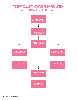# <span id="page-12-0"></span>FACTORY EVALUATION FOR PRE-PRODUCTION AUTHORIZATION FLOW CHART

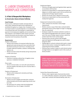# <span id="page-13-0"></span>C. LABOR STANDARDS & WORKPLACE CONDITIONS

## **1. A Fair & Respectful Workplace**

#### **1a. Forced Labor, Slavery & Human Trafficking**

#### **Code Principle**

Forced, prison, indentured, bonded, and slave labor as well as labor obtained through human trafficking are prohibited throughout our supply chain. Employers must not require workers to provide deposits or recruitment fees. If recruitment fees exist, the employer is responsible for payment of all employment eligibility and recruitment fees. The employer is not entitled to retain workers' personal identity documents and all workers must have freedom of movement. [ILO Conventions 29 and 105]

#### **Requirements**

#### *Freedom of Movement*

- Workers have freedom of movement within their designated work areas during work hours and within their dormitories during non-work hours, including access to toilets, bathroom facilities, canteens, drinking water stations, etc.
- Workers are free to leave the facility during meal periods or after work hours

#### *Freedom of Overtime*

Overtime is voluntary without fear of negative consequences or retaliation/retribution

#### *Prison Labor*

No form of prison labor, nor work with subcontractors and sub-suppliers that allow any form of prison labor is to take place

#### *Freedom of Employment*

• Workers enter employment voluntarily and freely, without threat

#### *Termination of Employment*

- Workers are free to legally terminate their contracts without penalty and accurate supporting records must be on file
- No restrictions for workers when terminating their employment (e.g., loss of wages or benefits)

#### *Employment Agents*

- Factories use legally approved/registered labor agencies in accordance with local law
- Factories are responsible for conducting thorough due diligence on all labor agents used in the recruitment and employment of foreign migrant workers
- Workers do not pay a fee or deposit to secure a job
- Factories are responsible for all fees associated with employment agencies

#### *Employment Contracts & Documentation*

- Labor contracts for all workers meet all legal requirements
- Workers receive a copy of their labor contracts before leaving their home country/region of origin in a language they can understand
- Employers explain the contract contents to workers in their preferred language before the contract is signed, and in the case of foreign migrant workers, before the workers leave their home country/region
- Factories have a formal contract with all legally approved/registered staffing agencies used to obtain temporary labor
- Staffing agency contracts indicate which party is responsible to verify workers' employment eligibility and have supporting documents available
- Factories have a system in place to verify that all workers are legal citizens or are eligible to work in the country of factory location

*VS&Co requires suppliers to comply with the Employer Pays Principle, to ensure factories producing for us do not charge recruitment fees to workers or use debt bondage or irregular, delayed, deferred or non-payment of wages.*

#### *Control Over Personal Documents*

• Workers retain original copies of personal documents (i.e., birth certificates, passports, work permits, residence cards, labor contracts and national identity cards, etc.)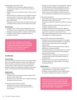#### <span id="page-14-0"></span>*Debt Bondage & Recruitment Fees*

- Employers do not use irregular, delayed, deferred or non-payment of wages as a means to bind workers to employment
- Employers do not force workers to work in order to repay a debt
- Recruitment fees or deposits are not charged to workers, inclusive of fees for travel visas, health checks, employment registration, work permit, agency/management fees or referral fees
- Employers ensure workers have full control of their bank account(s) if they are paid by direct deposit into a bank

#### **Best Practices**

- $\checkmark$  Employers have a written policy prohibiting the use of forced labor of any kind within their entire supply chain
- $\checkmark$  Employers make every effort to employ workers directly
- $\checkmark$  Employers provide regular forced labor awareness training to all workers

*For any factory employing or planning to employ foreign migrant workers (excluding management and office staff), the supplier must notify IPS. Our policy requires a specialized audit in these cases.*

#### **1b. Child Labor**

#### **Code Principle**

All workers shall be at least the local minimum legal working age or ILO standard, whichever is higher. The facility must take all necessary precautions to ensure that authorized young workers, under the age of 18, are protected from working conditions that could pose a danger to their health, safety, or development. [ILO Conventions 138 and 182]

#### **Requirements**

*Underage Workers*

- All workers meet or exceed the minimum legal working age prior to their date of hire
- Only persons at or above the minimum legal working age are present in the work areas

#### *Screening Procedure & Documentation*

• Employers have systems in place to ensure age documents are accurate and complete at the time of recruitment

- Employers provide training to all hiring staff on methods to verify the age of workers using effective interview techniques and ways to identify falsified documents
- Personnel files contain copies of identification documents such as birth certificates, national ID cards or school certificates throughout the term of employment

#### *Authorized Young Workers*

- Authorized young workers are registered with the local labor bureau where required by law
- Contracts are signed by a parent or guardian as required by law
- Employers protect the authorized young workers from working in hazardous areas
- Employers adhere to all local regulations regarding working hour restrictions for young workers, including regular hours, night hours and overtime hours
- Authorized young workers have access to proper health examinations as required by local law

#### *Apprenticeship/Trainee/Internship Programs*

- Employers ensure that any participation in an apprenticeship/trainee/internship program is in accordance with local law and follow the minimum age legal requirements
- Wages are not less than the legal minimum wage for apprentices, trainees and interns
- The apprenticeship and training programs are only for jobs that develop technical skills for the operations performed at the factory
- The total number of program participants does not exceed the total number of permanent workers as required by law
- Employers do not use long-term apprenticeships or training programs to employ workers in low-wage or temporary positions

#### **Best Practices**

- $\checkmark$  Employers have a tracking system for all authorized young workers (e.g., young workers registry)
- $\checkmark$  Employers require at least two forms of age/identity documents, preferably ones that have a photo ID

*Authorized young workers are workers who are under the age of 18 but above the legal minimum age requirement and protected from working conditions that could pose a danger to their health, safety or development.*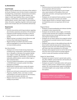#### <span id="page-15-0"></span>**1c. Discrimination**

#### **Code Principle**

Workers must be selected only on the basis of their ability to do the job. Employers must not discriminate in employment, including hiring, compensation, advancement, termination, or discipline, on the basis of sex, gender identity, race, religion or belief, age, disability, illness, sexual orientation, pregnancy, marital status, civil partnership, nationality, political opinion, social or ethnic origin, or other protected status. All workers, regardless of gender, shall receive equal pay for work of equal value. [ILO Conventions 100 and 111]

#### **Requirements**

*Awareness*

- Factories have policies and hiring procedures regarding discriminatory awareness and actions in the workplace
- Employers provide training to all workers on discrimination awareness, particularly as it relates to gender equality
- Regular training is provided to Human Resources staff to ensure they understand hiring policies
- Regular training is provided to all workers in their preferred language(s) to ensure they understand non-discriminatory policies

#### *Non-Discrimination*

- Employers do not discriminate during employment, including hiring, compensation, advancement, termination, or discipline, on the basis of sex, gender identity, race, religion or belief, age, disability, illness, sexual orientation, pregnancy, marital status, civil partnership, nationality, political opinion, social or ethnic origin, or other protected status
- The use of medical examinations, such as pregnancy or HIV/AIDS tests, to prevent a worker from being employed is prohibited
- Medical tests if required by law comply with requirements and are not to be used in any discriminatory manner
- Workers are not forced or pressured to use contraception
- Pregnancy, disability, illness, union lead, or worker representative is not used as a basis for discriminatory practices like termination, demotion, etc.
- Religious observance, prayer breaks, and religious holidays are permitted

#### *Equality*

- Factories ensure non-local workers are treated fairly and on an equal basis with local workers
- Women and men receive equal pay for work of equal value, equal evaluation of the quality of their work assignment, promotion, and equal opportunities to fill open positions
- Employers do not implement factory policies or practices that favor one group of workers over another
- Foreign migrant workers or domestic migrant workers are treated fairly and on an equal basis with its local workers

#### *Pregnant Women*

- Employers provide breastfeeding and childcare facilities as needed or where required by law
- Employers do not demote, reduce wages, or terminate a woman worker because she is pregnant, immediately before maternity leave, during maternity leave or after returning from maternity leave
- Employers do not reduce salaries from pregnant workers for taking leave for prenatal medical checks throughout pregnancy
- Employers allow workers to take additional leave after the three months maternity leave period, if allowed by law
- Pregnant women who work while standing are provided with chairs near their workstations for rest breaks
- Employers allow pregnant women to rest for half-an-hour every four hours of work and do not assign pregnant women in areas with hazardous working conditions

#### *Support for Special Needs*

- Employers are aware of women's special needs, particularly after childbirth, and provide them with benefits and facilities for meeting those needs
- Employers are aware of vulnerable workers with special needs (e.g. elderly workers, disabled workers, pregnant workers, etc.) and provide proper support including but not limited to lighter work, proper breaks, and flexible time options

*Pregnancy testing is not a condition for employment, nor is it demanded from workers.*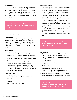#### <span id="page-16-0"></span>**Best Practices**

- $\checkmark$  Employers maintain effective policies and procedures that promote gender equality and anti-discrimination
- $\checkmark$  Employers have a job performance evaluation process that includes data on productivity, absenteeism, work quality and other areas of job performance
- $\checkmark$  Employers provide maternity leave benefits if not defined by local law

*Employers do not implement factory policies or practices that favor one group of workers over another.*

#### **1d. Harassment or Abuse**

#### **Code Principle**

Workers must be treated with respect and dignity. No worker shall be subject to humiliating or corporal punishment, and the workplace must be free from all forms of physical, sexual, psychological, or verbal punishment, coercion, intimidation, harassment or abuse. [ILO Convention 190]

#### **Requirements**

#### *No Harassment & Abuse*

- Employers do not use threat of violence, rude or abusive language, physical abuse, lewd remarks, sexual harassment, corporal punishment, psychological or verbal abuse, or any other form of harassment or abuse against workers
- Employers have clear and established anti-harassment or abuse policies made available to all workers
- Physical security searches are applied equally to all workers and are performed in the open by authorized personnel who are of the same gender as the worker and with respect for the individual

#### *Discipline Practices*

- Discipline rules and practices are in compliance with local law and communicated to all workers in writing and verbally
- Employers do not use monetary fines as a form of discipline
- All disciplinary actions are recorded

#### *Grievance Mechanisms*

- An effective worker grievance mechanism is available for all workers in their preferred language
- Factories develop multiple channels for workers to raise concerns and provide input to management anonymously
- Each grievance mechanism protects worker privacy, protects against retribution and allows concerns to be escalated to someone other than direct supervisors
- Factories train workers how to use grievance mechanisms in the preferred language(s) of workers, to report concerns, grievances and potential violations without fear of retaliation
- Employers establish written procedures for filing and recording grievances and follow-up discussions of grievances are kept on file
- Factories are transparent on the status of each grievance (e.g., grievance received, investigated, resolved, closed, etc.)

*An effective worker grievance mechanism should be available for all workers in their preferred language.*

#### **Best Practices**

- $\checkmark$  Factories have progressive discipline methods to correct a worker's behavior toward becoming a productive member of the company. The disciplinary procedure should include:
	- 1. Verbal warning
	- 2. First written warning
	- 3. Second written warning
	- 4. Dismissal
- $\checkmark$  Factories post and maintain records of resolutions to complaints that all workers can access
- $\checkmark$  Factories form grievance committees with worker representatives where applicable
- $\checkmark$  Factories track, collect and screen data for all grievances, complaints and resolutions based on gender of workers

*IPS defines "supplier" as the vendor or partner who has signed the Master Sourcing Agreement (MSA) directly with VS&Co.*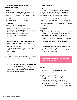#### <span id="page-17-0"></span>**1e. Freedom of Association, Right to Organize & Collective Bargaining**

#### **Code Principle**

Workers' rights to freedom of association and collective bargaining must be respected, as well as rights to refrain from participating in organizations of their choosing. Facilities must not interfere with, harass or intimidate workers who lawfully and peacefully associate, organize or bargain collectively. [ILO Conventions 87, 98, 135 and 154]

#### **Requirements**

*Workers' Rights of Association & Bargaining* 

- All workers are free to form/join a trade union of their choosing or choose not to belong to a union
- Employers do not discriminate nor terminate those who choose to form or join unions, who participate in union activities, or choose not to belong to a union
- Employers are open to cooperation with union representatives

#### *Freedom of Association/Worker Committee*

- In countries where the law restricts freedom of association and collective bargaining, factories facilitate alternative means to establish worker representation, such as worker committees
- Records of meetings, including minutes and agendas with the union or worker committee, are on file and available for review

#### *Union Fees*

• Factories do not deduct union membership dues, fees or fines from workers' wages without written approval from the worker

#### **Best Practices**

- $\checkmark$  Employers meet with trade unions or worker representatives regularly to understand worker concerns
- $\checkmark$  Employers provide private meeting space at the workplace for union (where legally recognized) or worker committees to host their meetings

#### **1f. Wages & Benefits**

#### **Code Principle**

Employers must compensate workers with at least the minimum wage prescribed by local law, the prevailing industry wage or the wage negotiated in a collective bargaining agreement, whichever is higher. Employers shall compensate all overtime work at a premium rate and provide benefits as stipulated by local laws. Suppliers should strive to pay a wage sufficient to meet workers' basic needs and provide some discretionary income. Illegal or disciplinary deductions are not permitted. [ILO Conventions 1, 95 and 131]

#### **Requirements**

#### *Basic Pay*

- All workers, including contract/agent workers, are paid the legal minimum wage, wages based on a collective bargaining agreement (CBA), or wages based on a contractual agreement whichever is higher
- If workers are paid by piece rate wage instead of hourly rate, the worker receives a wage equal to or above the legal minimum wage, without the use of overtime

#### *Overtime Pay*

- Overtime premiums follow local law or rates set forth by a CBA, whichever is higher
- Overtime wages are paid for all time legally defined to be over regular working hours

*Minimum wage and overtime premiums must meet legal requirements.*

#### *Pay Date*

- Pay date follows local law
- When no time limits are defined by law, compensation is paid at least every 30 days

#### *Deposits, Deductions or Fines*

- Employers do not hold deposits in any form for any reason
- Any deductions follow local law or a legal CBA
- Illegal or disciplinary deductions are not permitted
- Employers do not impose fees on workers in any form for any reason, including but not limited to fees for tools or other items required for their job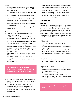#### <span id="page-18-0"></span>*Benefits*

- All workers, including trainees, are provided benefits in accordance with local law or as set forth by a CBA, whichever is higher
- Benefits include, but are not limited to social Insurance, entitled leave and holidays
- Benefits are paid during work stoppages, if any take place, as required by law
- The facility correctly and accurately calculates legal withholdings (e.g., taxes, social security, pension, or healthcare from worker wages) and file these with appropriate government authorities in a timely manner as required by law
- Employers share information on all related legal withholdings with workers

#### *Records & Communication*

- All pay records are complete, accurate and made available upon request
- All related payment records clearly indicate the pay period covered, the date workers are paid and acknowledged by workers
- Employers provide workers a comprehensive wage statement, which includes all hours worked, basic wage or piece rate earned per day, overtime premiums, bonuses, allowances, benefits and legal or contractual deductions
- Employers communicate to workers the content of wage statements and train them on the calculations in their preferred language
- Any variations to the normal payroll schedule or wage statement are communicated to workers in their preferred language and documented with worker acknowledgment
- All workers are provided a mechanism to dispute any wage discrepancies

*Employers communicate to workers the content of wage statements and train them on the calculations in their preferred language.*

#### **Best Practices**

- $\checkmark$  Employers strive to pay workers a wage that meets the basic needs of the workers and their families, with some discretionary income
- $\checkmark$  A fair compensation system is in place according to workers' skill, experience, seniority and qualifications
- $\checkmark$  Employers regularly assess and adjust wages and benefits to reflect the cost of living, industry standards and basic needs
- $\checkmark$  Factories have a system in place to enhance efficiencies, cost savings and apply a portion of the savings towards improving worker wages
- $\checkmark$  Factories pay workers through digital payments
- $\checkmark$  Digital payments are on the payment date or period stipulated by the local law
- $\checkmark$  Workers are trained on how digital payments work in the workers' preferred language

#### **1g. Working Hours**

#### **Code Principle**

Overtime must be limited to a level consistent with humane and productive working conditions. Workers shall not work more than 48 regular hours (or lower if required by local laws or local industry standards) and shall not exceed 60 hours a week on a regularly scheduled basis. Workers must be given at least one day off in seven. All overtime must be voluntary. Workers must be provided with adequate breaks as legally required. [ILO Conventions 1, 14 and 30]

#### **Requirements**

*Working Hours*

- Regular and overtime hours follow local law
- Regular weekly working hours are not more than 48 hours and do not exceed more than 60 hours, including overtime hours
- Reasonable meal and rest breaks comply with local laws
- Employers have policies with defined procedures and approval processes for determining overtime and securing worker consent

#### *Consecutive Days Worked*

- Workers are provided at least one day off in seven
- A day off is provided and is at least 24 hours of continuous rest

#### *Time Attendance Records*

- Records are complete and accurate for all workers, including contract/agent workers, for at least 12 months or longer if required by law
- All hours worked are tracked to ensure correct payment of the legal minimum wage and overtime premiums
- Workers record their own hours, including start and stop times, and have access to their attendance records upon request

*Workers are provided at least one day off in seven.*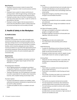#### <span id="page-19-0"></span>**Best Practices**

- $\checkmark$  Employers have processes in place to assess their production capacity in order to avoid excessive overtime hours
- $\checkmark$  Employers have a system to reduce overtime by improving workers' skills through training, mentoring and coaching to improve productivity and reduced rework
- $\checkmark$  Employers provide a day of rest that is scheduled on the same day of the week every week, in order for workers to plan ahead for that day
- $\checkmark$  Employers conduct regular internal assessments to ensure the time attendance system is being used properly and all working hours are accurately recorded

## **2. Health & Safety in the Workplace**

#### **2a. Health & Safety**

#### **Code Principle**

Employers must provide a clean, safe and healthy work environment and take steps to prevent accidents, illness and injury arising out of or occurring during the course of work. All workers must have access at all times to sanitary facilities, which should be adequate and clean. Workers must be provided at no cost with all the appropriate personal protective equipment. Where dormitories and canteens are provided to workers, the same standards apply. [ILO Convention 155]

#### **Requirements**

#### *Evacuation Plan*

• Evacuation plans are available in all workers' preferred language(s), are legible, large enough and have clear direction to an exit

#### *Fire Extinguishers/Hydrants*

- All fire-fighting equipment, including fire sprinklers/ extinguishers/hydrants, are available, visible, unblocked, in their designated area and properly maintained
- Training on the proper use of fire equipment is provided to workers responsible for fire safety, where required by local law, with complete training records kept on file

#### *Fire Alarm System*

- Fire alarm and detection systems are available, visible, unblocked and properly maintained as required by local law and fire safety standards
- A visible and audible fire alarm is installed in all work areas

#### *Fire Drills*

- Fire drills are conducted at least semi-annually (every six months) with attendance records and photos on file
- Fire drills cover all shifts, floors and buildings within the whole facility
- Designated emergency assembly points are large enough to accommodate all workers

#### *Two Fire Exits*

- At least two accessible fire exits are available, unlocked and unblocked
- Emergency exit doors' design and installation meet all legal requirements

#### *Exit Signs & Emergency Lighting*

- Exit signs are available in all workers' preferred language(s), are legible and visible
- Emergency lighting is functional in all evacuation passageways, staircases and exits

#### *Passageways*

- Passageways are clear and unobstructed
- Fire routes lead to safe assembly points without obstruction

#### *Health Monitoring*

- A system for identifying common illnesses that affect workers is in place and includes analysis of factory clinic health records and sick leave records
- Employers conduct and cover costs for regular occupational health checks for workers as legally required

#### *Drinking Water*

• Adequate and clean drinking water is accessible, with testing reports conducted semi-annually (every six months)

#### *Lavatories*

- Clean toilets are available and provide appropriate privacy (stalls with doors)
- Fresh water is accessible for toilet flushing and hand washing
- The number of workers per toilet is at a minimum 25 workers per toilet, or fewer if required by law

#### *First Aid*

- First aid kits are properly stocked and accessible
- First aid equipment is functional, with maintenance records properly filed in proximity of the work area
- First aid training is provided to workers with complete records on file
- Emergency eyewash station and/or showers are provided where corrosive chemicals or high volumes of solvents are handled and used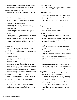Factories with onsite clinic and staff have any necessary licenses up to date and available if required by law

#### *Personal Protective Equipment (PPE)*

• Appropriate PPE is provided with training and enforcement for worker use

#### *Electrical & Machine Safety*

- All electrical equipment/machinery is properly grounded, insulated, unblocked and has safety labels where required
- Electrical wiring is safe and covered
- All equipment/machinery is properly guarded
- Workers are trained on how to use machinery and follow safety procedures
- Machines and equipment have proper emergency stop switches, with lockout/tagout mechanisms where applicable
- Specialized machinery and equipment have all required and up-to-date licenses/permits
- Qualified professionals (electrician, hired or outsourced) maintain electrical system on a regular basis or as needed, based on type of equipment, as required by local law

#### *Chemical Safety Data Sheet (CSDS)/Material Safety Data Sheet (MSDS)*

- CSDS/MSDS are available in all workers' preferred language(s) and are legible
- Safety training is given to workers with complete training records on file

#### *Chemical Management*

- Chemicals are properly identified and stored
- Chemicals and hazardous substances have secondary containers in place
- Chemical fume detectors (where applicable) are available, functional, properly maintained and monitored
- Workers who handle chemicals and hazardous substances are properly trained
- Factories conduct regular chemical drills (e.g., chemical leakage, accident drill) for all workers handling chemicals or hazardous substances
- Factories maintain a current Chemical Inventory that lists all chemicals utilized with the chemical supplier's name and contact information
- Chemicals and hazardous waste are separated from general waste and are appropriately handled and disposed of as legally required
- Chemicals and hazardous substances are stored in a designated covered area that is equipped with all necessary safety measures and equipment as required by law

#### *Safety Signs/Labels*

• Safety signs/labels are available in all workers' preferred language(s), are legible and visible

#### *Certificates/Permits*

- Factories have all appropriate licenses, registrations and permits to perform their current operational activities
- Operator certificates for specialized equipment are valid and available
- Official safety certificates, licenses and inspection records are kept on file as legally required

#### *Canteen*

- Canteens are clean and accessible at all times and have updated licenses
- Cooks have updated health licenses

#### *Working Environment*

- Adequate ventilation and lighting are provided for all workstations
- Air quality, temperature and noise levels are reasonable, maintained and monitored as required by local law and all records are kept on file

#### *Building Safety*

- An official construction approval is available for the building
- Buildings are regularly maintained and inspected with records on file
- Factories have updated certificates if needed based on building inspections
- Building structures do not exceed the maximum expected loads described by the building's certificate of occupancy

#### *Childcare Facilities*

- A childcare facility is available where required by law
- Childcare facilities are separated from production areas and staffed with sufficient and trained caregivers

#### *Dormitories*

- The dormitory is not to be located in the same building with factory workshops and warehouses
- Reasonable dormitory space (the greater of 2 square meters per person or the space required by local law) is provided for each worker
- Workers are provided with individual storage space with a personal locking mechanism
- Clean toilets are available and provide appropriate privacy (stalls with doors)
- Fresh water is accessible for toilet flushing and hand washing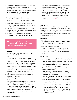- <span id="page-21-0"></span>• The number of workers per toilet is at a minimum of 25 workers per toilet or fewer if required by law
- The number of workers per shower is at a minimum of 18 workers per shower or fewer if required by law. Hot water for workers' cleaning purposes is available
- Workers are segregated by gender in different rooms

#### *Regular Health & Safety Reviews*

- An occupational health and safety process is in place and includes a committee to ensure compliance to all VS&Co standards
- Records and investigation for all accidents, injuries, fatalities, fires and other emergencies are on file for at least 12 months
- A system for identifying common illnesses that affect workers is in place and includes analysis of factory clinic health records and sick leave records
- Employers conduct and cover costs for regular occupational health checks for workers as legally required

*IPS defines "supplier" as the vendor or partner who has signed the Master Sourcing Agreement (MSA) directly with VS&Co.*

#### **Best Practices**

- Dormitories do not have more than 8 people per room; there are no triple bunks and beds are not directly on the floor
- $\checkmark$  Dormitory ceilings are at least 2.1 meters high
- $\checkmark$  Factories have a process for external medical treatment of workers in the event of occupational injury or illness
- $\checkmark$  Factories have a system for identifying, evaluating and minimizing risk from physically demanding work and highly repetitive tasks to prevent work-related injuries or health impacts
- $\checkmark$  There is clear identification of fire brigade members, health and safety committee members and first aid leads on production floors
- $\checkmark$  Workers are incentivized to adopt and maintain good health and safety practices
- $\checkmark$  Exits lead directly to the exterior of buildings where possible
- $\checkmark$  Chemical storage areas have appropriate fire extinguishers, safety signs, ventilation, anti-explosive lights and instructions on handling and disposal of chemicals, with personal protective equipment available for workers
- $\checkmark$  A risk assessment should be conducted by a health and safety consultant to identify hazards and risk factors. Control measures are implemented as a result of the consultation(s)
- $\checkmark$  A crisis management plan to support workers during pandemics, natural disasters, etc., is in place
- $\checkmark$  VS&Co is a member of the Sustainable Apparel Coalition (SAC), a collaborative partner and trusted leader for industry sustainability. The Higg Facility Social & Labor Module (FSLM) is a self-assessment tool that measures social and labor compliance at facilities. Facilities should aim to complete the FSLM tool and share findings with VS&Co through the **[Higg Co.](https://portal.higg.org/)** website.

#### **2b. Environment**

#### **Code Principle**

Facilities should have policies and procedures in place to ensure environmental impacts are reasonably minimized with respect to energy, air emissions, water, waste, hazardous materials and other significant environmental risks. Facilities are expected to make sustainable improvements in environmental performance.

#### **Requirements**

#### *Certificates/Permits*

• All legally required and updated environmental certificates, permits and licenses are available

#### *Procedure for Accidents/Emergency*

• Factories have procedures for notifying local environmental and community authorities in the event of accidental discharge or any other environmental emergency

#### **Best Practices**

- $\checkmark$  Factories have policies and procedures in place to ensure environmental impacts are reasonably minimized with respect to energy, air emissions, water, waste, hazardous materials and other significant environmental risks
- $\checkmark$  Factories are expected to make sustainable improvements in environmental performance
- $\checkmark$  Factories have an annual plan to reduce hazardous waste generation and discharge
- $\checkmark$  Factories conduct a risk assessment of the impact hazardous substances pose in surrounding ecosystems and identify risk management
- $\checkmark$  Factories have a formal process for complying with local and national environmental laws
- $\checkmark$  Factories track and measure at least annually the following (if applicable):
	- Energy usage (including energy used on-site (direct), purchased energy (indirect), as well as fuel use for on-site transportation)
	- Water consumption (both quantity and quality)
	- Wastewater discharge (both quantity and quality)
	- Hazardous waste generation (including treatment/ disposal methods)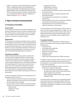<span id="page-22-0"></span> $\checkmark$  VS&Co is a member of the Sustainable Apparel Coalition (SAC), a collaborative partner and trusted leader for industry sustainability. The Higg Facility Environmental Module (FEM) is a self-assessment tool that measures environmental performance at facilities. Facilities should aim to complete the FEM tool and share findings with VS&Co through the **[Higg Co.](https://portal.higg.org/)** website.

## **3. Open & Honest Communication**

#### **3a. Transparency & Traceability**

#### **Code Principle**

Our Company, subcontractors and authorized agents must be given unrestricted access to all workers, production facilities and dormitories, and be granted access to all relevant records related to production facilities and sub-suppliers, whether or not notice is provided in advance.

#### **Requirements**

For the purpose of monitoring compliance with our policies and meeting the expectations from external stakeholders as needed, VS&Co and our subcontractors and agents need to be provided unrestricted access. This includes, but it is not limited to, access to all production facilities, dormitories, all relevant records (including those for temporary workers) and workers/staff (when applicable for interviews).

#### **Transparency Guidelines**

VS&Co anticipates that business partners operate with honesty and accountability related to business transactions and the fair treatment of workers. However, VS&Co recognizes that suppliers may face challenges meeting some compliance standards and is committed to partnering with honest suppliers to improve their workplaces over a period of time. For supply chain transparency, substantiated supporting documents and open communication are a requirement for sustaining the IPS and Supplier relationship, which also enables identifying actual areas for improvement.

For all communication with IPS and its representatives, the following practices must occur:

- Only accurate and relevant information should be shared (false documentation should not exist nor be submitted; key data should not be excluded)
- During an audit, all documentation requested should be provided, which includes, but should not be limited to:
	- Payroll records
	- Attendance records
	- Worker files
- Employment contracts
- Staffing agency contracts
- Benefit/Incentive records
- All documentation required for an audit must be kept on file at least one year
- All responses to requests should be provided in the requested timeframe
- Top management is expected to be committed to transparency
- Policies, guidelines and systems should be developed to drive internal commitment to transparency
- Organizational resources should be structured to support transparency in all scenarios

Lack of transparency with IPS during the audit process will result in the factory being categorized as a "higher-risk" site and will result in additional corrective action work. Demonstrating transparency during the audit may expose some deficiencies, but all remediation will be isolated to those identified issues.

#### **Traceability Guidelines**

Traceability is a critical expectation for VS&Co business partners. All suppliers should actively maintain the following data elements:

- Company profile
- Sub-supplier lists and profiles
- Production information
- Material sourcing information
- Production records
- Shipping records
- Other known relevant data tied to VS&Co production

If needed to support a request, VS&Co will reach out directly to suppliers who will be required to provide all necessary documentation in a reasonable amount of time. All suppliers need to meet the following:

- Maintain consistent reference numbers on internal documents to support the following:
	- Tie back to purchase orders and style numbers
	- All support documents need to be accurately translated to English when submitted
	- Where applicable, additional information should be willingly provided

The requirements of transparency and traceability benefit each business partner by supporting stability within their organization, reducing non-compliant events and creating a competitive advantage over suppliers who do not operate within these guidelines.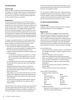#### <span id="page-23-0"></span>**3b. Subcontracting**

#### **Code Principle**

We do not allow unauthorized subcontracting and require all suppliers to formally request the use of new facilities and subcontractors. Suppliers, sub-suppliers and subcontractors must not use any form of home working arrangement for the manufacturing of our products.

#### **Requirements**

Unauthorized subcontracting is not permitted. Unauthorized subcontracting is where the origin-conferring step of production has been contracted to a facility not listed on the active purchase order (that factory would be considered to be the "subcontractor"). The origin conferring step is the production step that changes the raw materials into a form that most resemble the finished product and occurs prior to any finishing work. Suppliers must formally request adding new facilities and subcontractors when changing production from the original location the purchase order was written to.

A change in production locations for orders may be authorized when each of the following steps are taken to ensure proper compliance verification and accuracy for all U.S. Customs declarations and product traceability:

- Communicate with VS&Co brand partners for written approval to move a purchase order to a different factory
- IPS must be alerted of any NEW factories and the location must be submitted to the RizePoint system and confirmed by IPS
	- If a new factory is planned for production, no production or movement of raw materials may occur until IPS has confirmed written authorization to approve the factory
- An updated purchase order must be issued identifying the accurate factory where the origin-conferring step is completed
- All agreements with subcontractors and records of payment transactions between involved parties must be maintained and made available to IPS or authorized agents upon request
- Origin labels must correctly include the factory ID of the facility that completed the origin-conferring production
- Shipping documents must name the accurate manufacturer of the item
- All authorized subcontracting facilities MUST meet the same compliance standards as any regularly utilized partner factory

If all the requirements noted are not taken and unauthorized subcontracting is detected, IPS will report the incident to brand leadership and treat the situation as a Supplier Code of Conduct violation. Unauthorized subcontracting will

result in a warning letter being issued, potentially a monetary penalty issued, and it may lead to loss of business for the factory and supplier involved.

For any questions related to the origin-conferring process and determining which subcontractor or factory to submit to IPS for approval, please contact VS&Co brand partners and IPS, which will redirect the questions to the Customs department to determine the process to follow.

#### **3c. Anti-Corruption/Anti-Bribery**

#### **Code Principle**

Suppliers must comply with all applicable anti-corruption and anti-bribery laws, rules and regulations.

#### **Requirements**

VS&Co is committed to engaging in honest and ethical business practices and expects the same for all business partners. Suppliers must follow all applicable local laws, anti-corruption laws and anti-bribery laws. VS&Co does not tolerate any form of unethical behavior, especially the offering, giving, authorizing, accepting, receiving, requesting or promising of a bribe or anything of value with the intent to improperly influence someone or gain an improper advantage.

#### *Anti-corruption Laws*

- Anti-corruption laws prohibit activities or exchanges that are intended to persuade or influence officials to act for your benefit
- The term "Official(s)" can be inclusive of:
- Government employee (international and domestic)
- Officer or employee of a public international organization
- Person acting in an official role or on behalf of a government, department, agency or public international organization
- Political party, political party official or candidate for political office
- Family member(s) of persons described above

#### *Items of Value to Avoid Offering*

- Anything of Value is defined as:
	- Cash
	- Cash Equivalents (discounts, gift certificates, etc.)
- Meals
- Transportation

**Business** 

- Lodging **Favors**
- Job Offers
- **Loans Gifts**
- Entertainment **Opportunities**
- Facilitation Payments
	- Payments or other offerings for non-authorized fees claimed to speed up official actions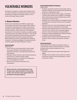# <span id="page-24-0"></span>VULNERABLE WORKERS

We require our suppliers to comply with all Supplier Code of Conduct standards as specified in the previous section, particularly as it applies to vulnerable workers, such as women and foreign migrant workers.

#### **1. Women Workers**

Women are an important part of VS&Co's supply chain and we believe they deserve equal opportunities. VS&Co is committed to respecting women's rights as per the ILO's mandate on gender equality to promote equality between all women and men in the world of work. The mandate is grounded in ILO Conventions of relevance to gender equality - especially the four key equality Conventions - which are the Discrimination (Employment and Occupation) Convention, Equal Remuneration Convention, Workers with Family Responsibilities Convention, and the Maternity Protection Convention. The following highlights the requirements that should be applied with special attention to women.

#### **Gender Equality**

#### *Requirements*

- Women and men receive equal pay for work of equal value, equal evaluation of the quality of their work assignment, promotion, and equal opportunities to fill open positions
- Employers provide training on discrimination awareness, particularly as it relates to gender equality
- Pregnancy testing is not a condition for employment, nor is it demanded from workers
- Workers are not forced or pressured to use contraception

*Women and men receive equal pay for work of equal value, equal evaluation of the quality of their work and have equal opportunities for promotions and open positions.* 

#### **Special Needs Related to Pregnancy**

*Requirements*

- Employers are aware of women's special needs, particularly after childbirth, and provide them with benefits and facilities for meeting those needs
- Employers do not demote, reduce wages, or terminate a woman worker because she is pregnant, immediately before maternity leave, during maternity leave or after returning from maternity leave
- Employers do not reduce salaries from pregnant workers for taking leave for prenatal medical checks throughout pregnancy
- Pregnant women who work while standing are provided with chairs near their workstations for rest breaks
- Employers allow pregnant women to rest for half-an-hour every four hours of work and do not assign pregnant women in areas with hazardous working conditions
- Employers provide breastfeeding and childcare facilities as needed or where required by law
- Employers allow workers to take additional leave after the three months maternity leave period, if allowed by law

#### **Sexual Harassment**

Sexual harassment is defined as unwanted conduct of a sexual nature, verbal or physical advances, or sexually derogatory/discriminatory statements or acts. **Requirements** 

- Employers treat all women workers with respect and dignity
- Employers do not subject women workers to corporal punishment, physical, sexual, psychological, or verbal harassment or abuse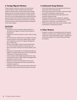## <span id="page-25-0"></span>**2. Foreign Migrant Workers**

Foreign migrant workers are workers who travel across country borders to obtain employment and are often subject to modern slavery. Factories that employ foreign migrant workers are closely monitored to ensure workers are treated in accordance with the law, no worker pays for their job or incurs a debt related to the recruitment process, workers retain control of their travel documents, workers have full freedom of movement and workers are informed of the basic terms of their employment before leaving their home country/region.

#### **Debt Bondage**

*Requirements*

- Employers do not use irregular, delayed, deferred or non-payment of wages as a means to bind workers to employment
- Employers do not force workers to work in order to repay a debt
- Recruitment fees or deposits are not charged to workers, inclusive of fees for travel visas, health checks, employment registration, work permit, agency/management fees or referral fees
- Workers retain original copies of personal documents (i.e., birth certificates, passports, work permits, residence cards, labor contracts and national identity cards, etc.)
- Employers are responsible for conducting thorough due diligence on all labor agents used in the recruitment and employment of foreign migrant workers
- Labor contracts meet all legal requirements and a copy is shared with workers in their preferred language before leaving their country of origin
- Workers do not pay a fee or deposit to secure a job
- Employers are responsible for all fees associated with employment agencies
- Employers ensure workers have full control of their bank account(s) if they are paid by direct deposit into a bank

#### **3. Authorized Young Workers**

- Authorized young workers are registered with the local labor bureau where required by law
- Authorized young workers have their contract(s) signed by a parent or guardian as required by law
- Employers protect authorized young workers from working in hazardous areas
- Employers adhere to all local regulations regarding working hour restrictions for young workers, including regular hours, night hours, and overtime hours
- Authorized young workers have access to proper health examinations as required by local laws

#### **4. Other Workers**

• Employers are aware of vulnerable workers with special needs (e.g., elderly workers, disabled workers, pregnant workers, etc.) and provide proper support, including, but not limited to, lighter work, proper breaks and flexible time options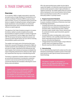# <span id="page-26-0"></span>D. TRADE COMPLIANCE

#### **Overview**

As an importer, VS&Co is legally responsible to report the accurate country of origin and place of manufacture to U.S. Customs and Border Protection (CBP) for each purchase order we import. To do so, it is imperative that we ensure the factory is capable of making the product, noting the appropriate manufacturer name and address on commercial shipment documents, and is not subcontracting orders without our explicit approval.

The objective of the Trade Compliance program is to assess the factory's ability to provide complete and accurate documentation to support a product's country of origin and place of manufacture in various stages upon request from CBP. IPS will assess the factory's production process and capacity by observing the factory set up as well as reviewing documentation systems and records.

The supplier must require each of its factories that manufacture all or any part of the goods contracted for VS&Co to maintain production documentation for a period of at least two years (or longer if specified by IPS) following the shipment of goods. Such records are necessary to establish the origin of all goods produced and to satisfy any other regulatory requirement that may rely on manufacturing records.

The factory is expected to maintain evidence of raw materials sourced and received prior to production, production records for each process performed at the factory and commercial shipment documentation reflecting the correct factory name and address.

*Suppliers and factories are expected to maintain a complete list of material sub-suppliers and also provide awareness training to all sub-suppliers on documentation to keep on file to trace down all materials in their supply chain.* 

IPS or the approved third-party auditor has the right to require the supplier or its factories to permit access to any and all records required to conduct origin verifications or capacity monitoring. The supplier agrees that such records will be maintained in a form and at locations that will allow them to provide these records to IPS or our approved third-party auditor in a prompt manner.

#### **1. Program Assessment Standards**

Our Trade Compliance program has set forth expectations to assess compliance at factories. All factories must meet the following requirements:

- Complete documents which demonstrate the flow of production from raw materials to finished goods (e.g. purchase orders, material planning sheet, material purchase receipt, transfer notes, invoice, internal transfer, production records, export documents, payment records, etc.)
- Accurate information including dates, order numbers, product reference, color, quantity and persons or companies responsible during transfer in the manufacturing process, and authorized signatures
- Linkage between documents though a unique reference number listed on all related documents
- Records must be on file for at least two years

#### **2. Subcontracting**

For our subcontracting requirements, please see the Labor Standards and Workplace Conditions section of the Guidebook (section B under Open & Honest Communication  $\rightarrow$ Subcontracting).

*IPS defines "supplier" as the vendor or partner who has signed the Master Sourcing Agreement (MSA) directly with VS&Co.*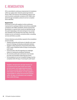# <span id="page-27-0"></span>E. REMEDIATION

IPS is committed to continuous improvement of compliance within our supply chain. Factories producing Victoria's Secret, PINK, and Victoria's Secret Beauty products must work to achieve sustainable compliance with VS&Co standards through remediation actions for all non-compliant items identified.

#### **Requirements**

IPS strives to work with suppliers to drive continuous improvement in working conditions and achieve sustainable compliance with VS&Co standards, policies and local law. Remediation is required when issues are identified during the audit. Depending on the level and type of non-compliance identified, IPS will determine next steps, which may include, but are not limited to, corrective action, consulting services and follow-up audits.

Critical milestones and activities required in the remediation process include:

- Supplier partnership with factory to identify root cause issues for findings and develop sustainable solutions
- Supplier's initial submission of Corrective Action Plan (CAP) made in RizePoint within 30 days of receiving the audit report
- Communication with IPS regarding any challenges relative to meeting the Guidebook standards
- All corrective action plan submissions must include accurate and translated supporting documents
- Full remediation for all non-compliant findings must be completed within 90 days of receiving the audit report

*Suppliers should work with their factory on a corrective action plan (CAP) and review all information and supporting documents the factory provides before they submit the information into RizePoint. It is the supplier's responsibility to submit all corrective actions within 30 days of notification and complete them within 90 days.*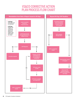# VS&CO CORRECTIVE ACTION PLAN PROCESS FLOW CHART

<span id="page-28-0"></span>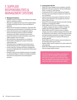## <span id="page-29-0"></span>F. SUPPLIER RESPONSIBILITIES & MANAGEMENT SYSTEMS

#### **1. Management Systems**

- Establish a point of contact in the company to be responsible for compliance matters
- Maintain an updated factory base with complete details, including ownership structure, name and address in RizePoint
- Review the IPS Compliance Guidebook, understand IPS' requirements and ask questions if something is not clear
- Ensure that the factory has management systems, policies and internal controls in place to facilitate compliance with VS&Co standards and local laws
- Ensure that factories receive and display a copy of the VS&Co Supplier Code of Conduct
- Work with factory representatives on compliance
- Ensure factory management is aware of local and national labor laws
- Verify that factory management and workers have a formal training process for compliance requirements
- Confirm that your company and factory management are aware of applicable anti-corruption/anti-bribery laws and regulations
- Develop a robust social compliance process to strengthen capacity building as it relates to meeting compliance with minimum requirements and achieving best practices

#### **2. Communicate with IPS**

- Notify IPS of any changes to your company's contacts
- Notify IPS of all issues under the "24-Hour Notification Policy" in section A, under Policies
- Coordinate with IPS on audit schedules and logistics
- Provide a root cause analysis to determine reasons for non-compliance
- Submit corrective action plans in RizePoint within 30 days of audit notification and complete all corrective actions within 90 days
- Attend IPS' Communication Sessions and other training programs as requested by VS&Co
- Notify VS&Co and IPS if your company has a name or address change; any name or address change of a supplier will need to be updated in our database
- Notify VS&Co and IPS if a factory name or address changes; any name or address change of the factory will be classified as a new factory, which will require an audit and approval before production can begin if the factory is new or for production to continue if the factory is already approved
- Notify VS&Co and IPS if a factory name and address on the purchase order are not correct
- Request VS&Co and IPS' approval if an order needs to be subcontracted
- Notify IPS if VS&Co goods will be produced in factories that use foreign migrant workers

*The IPS Compliance Guidebook (Guidebook) includes a set of mandatory requirements which all our suppliers as well as their factories, sub-suppliers and subcontractors need to meet to be able to do business with VS&Co.*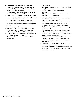#### <span id="page-30-0"></span>**3. Communicate with Factories & Sub-Suppliers**

- Ensure that the factory receives and displays a copy of the VS&Co Supplier Code of Conduct poster in the language(s) workers understand
- Distribute a copy of the IPS Compliance Guidebook to each factory that produces for VS&Co
- The IPS Compliance Guidebook (Guidebook) includes a set of mandatory requirements which all our suppliers as well as their factories, sub-suppliers and subcontractors need to meet to be able to do business with VS&Co
- Educate factories on critical non-compliances and assist factories in establishing compliance management systems
- Forward audit reports to the factories
- Work with factories to create corrective action plans
- Review corrective action support provided by each factory to ensure that it meets IPS' requirements
- Ensure all training and communication is delivered in the preferred language(s) of workers
- Communicate VS&Co standards and provide training to sub-suppliers

#### **4. Due Diligence**

- Visit factories frequently to verify that they meet VS&Co compliance standards
- Ensure sub-suppliers meet VS&Co compliance standards
- Attempt to be present during audits and ensure factories are transparent and cooperative
- Work with factories on any corrective action required as a result of the audit and encourage them to complete corrective actions within 90 days
- Review RizePoint at least once every month, to ensure that corrective action items are not outstanding
- Review factory base often; add any new factories in RizePoint and inform IPS of factories that are no longer producing for VS&Co
- Plan ahead with current list of approved factories and subcontractors to ensure there is capacity to meet production needs and continuously monitor factories for capacity changes through visits
- Gather information about any conflict minerals used in the goods produced for VS&Co and respond to VS&Co's annual conflict minerals information request within the requested timeframe
- Gather information about upstream suppliers for VS&Co and respond to IPS in a timely manner in regards to requests for sub-supplier information in the supply chain
- Maintain accurate and complete records as specified through the Guidebook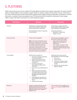# <span id="page-31-0"></span>G. PLATFORMS

VS&Co respects the privacy of all our suppliers. We handle digital information about suppliers responsibly. The systems that IPS utilizes to manage VS&Co's social compliance program allows our suppliers, auditors and associates to access critical information. Some of the information stored includes policies, guidance tools, supplier and factory information, audit reports, corrective action plans, remediation status and ongoing surveys. IPS has partnered with the platforms listed below to help manage VS&Co's supply chain data as it pertains to our social compliance program.

| <b>IPS Platforms</b>    | <b>RizePoint</b>                                                                                                                                                                                                                                                                                                                                                                                                                                                                                                                                                                          | <b>Sourcemap</b>                                                                                                                                                                                                                                                                                             |
|-------------------------|-------------------------------------------------------------------------------------------------------------------------------------------------------------------------------------------------------------------------------------------------------------------------------------------------------------------------------------------------------------------------------------------------------------------------------------------------------------------------------------------------------------------------------------------------------------------------------------------|--------------------------------------------------------------------------------------------------------------------------------------------------------------------------------------------------------------------------------------------------------------------------------------------------------------|
| Overview                | RizePoint is an internet-based system<br>used by IPS to maintain supplier and<br>factory information for our brands.<br>We use RizePoint mainly as a repository<br>for audit results.                                                                                                                                                                                                                                                                                                                                                                                                     | Sourcemap is a supply chain trans-<br>parency platform that provides supply<br>chain mapping and transparency.<br>We use Sourcemap for:<br>Mapping our supply chain<br><b>Supplier Surveys</b>                                                                                                               |
| <b>Users and Access</b> | Primary users are Suppliers.<br><b>Note:</b> It is IPS' policy that RizePoint access is<br>granted only to suppliers and not to factories.<br>The supplier is responsible for communicating<br>IPS' compliance requirements and audit<br>reports to the factory. The supplier is also<br>responsible for submitting any corrective<br>actions on behalf of the factory. It is a violation<br>of IPS' policy to provide your username and<br>password to a factory to access RizePoint.                                                                                                    | Primary users are Suppliers, who can<br>give access to factories if needed.<br>Users must be invited into the<br>$\bullet$<br>platform by "Sourcemap Inc."<br>to get access<br>Users register using their emails<br>Users can invite members of their<br>company to register and gain access<br>to Sourcemap |
| <b>Functionalities</b>  | RizePoint allows suppliers to:<br>1. Download compliance standards<br>and program guidance<br>2. Submit a new factory via the<br>Factory Set-Up form for audit<br>arrangement<br>3. Download audit reports<br>upon receipt of system email<br>notification<br>4. View active and prohibited factory<br>lists<br>Submit corrective action plans<br>5.<br>and supporting documents and/<br>or photos onto Corrective Action<br>Management (CAM) module in<br><b>RizePoint</b><br>6. Submit Reorder request for VS<br>& Co Supplier Coder of Conduct<br>Poster<br>7. Submit Sell-off request | Authorized users can access the<br>following pages via the Account page:<br>1. Edit surveys<br>2. Submit surveys<br>3. Invite other members of their<br>company to edit and submit<br>surveys<br>4. Edit their account description,<br>address, and logo                                                     |
| Resources               | Suppliers can download step-by-step<br>system guidelines by selecting the<br>Guidance icon on the RizePoint Home<br>page and clicking on the "RizePoint<br>Guidance" link.                                                                                                                                                                                                                                                                                                                                                                                                                | Users can learn more by logging on to<br>Sourcemap or you can contact the IPS<br>team.                                                                                                                                                                                                                       |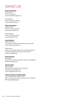# <span id="page-32-0"></span>CONTACT LIST

#### **Eastern Hemisphere**

Simon Pound Director, Operations Email: [SPound@ips-global.com](mailto:SPound%40ips-global.com?subject=)

Dana Nwadike Director, Vendor Compliance Email: [DNwadike@lb.com](mailto:DNwadike%40lb.com?subject=)

#### **Western Hemisphere**

Odilia de Ciutiis Director, Social Compliance Email: [ODeciutiis@lb.com](mailto:ODeciutiis%40lb.com?subject=)

Michael Hippler Director, Compliance Audit Email: [MHippler@lb.com](mailto:MHippler%40lb.com?subject=)

#### **Issue Escalation**

Shelly Zimmerman Vice President, Independent Production Services (IPS) Email: [SZimmerman@lb.com](mailto:SZimmerman%40lb.com?subject=)

Leigh Schmid Senior Vice President, Global Trade Compliance VS&Co & President, Independent Production Services (IPS) Email: [LSchmid@lb.com](mailto:LSchmid%40lb.com?subject=)

#### **Brand Protection**

Alan Swayne Associate Vice President, Global Compliance Investigations Email: [ASwayne@lb.com](mailto:ASwayne%40lb.com?subject=)

#### **Anti-Corruption**

William Hughes Associate Vice President, Anti-Corruption & Third-Party Risk Management Email: WHughe[s@victoria.com](mailto:WHughes%40victoria.com?subject=)

#### **Victoria's Secret & Co. Ethics Hotline**

U.S. & Canada Phone: (844) 575-1079 *Other country phone numbers can be found on the website* Web: [vsco.ethicspoint.com](http://vsco.ethicspoint.com)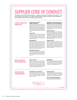## $\overline{\phantom{a}}$  CHDI SUPPLIER CODE OF CONDUCT

The Supplier Code of Conduct sets forth standards — in addition to all relevant laws, regulations and conventions — that apply to suppliers and their factories, sub-suppliers and subcontractors. Suppliers must adhere to these standards and communicate them to all workers in all countries in which they operate.

#### **A FAIR & RESPECTFUL WORKPLACE**

<span id="page-33-0"></span>SUPPLIER CODE OF THE CODE OF THE CODE OF THE CODE OF THE CODE OF THE CODE OF THE CODE OF THE CODE OF THE CODE

#### **FORCED LABOR, SLAVERY & HUMAN TRAFFICKING**

Forced, prison, indentured, bonded, and slave labor as well as labor obtained through human trafficking are prohibited throughout our supply chain. Employers must not require workers to provide deposits or recruitment fees. If recruitment fees exist, the employer is responsible for payment of all employment eligibility and recruitment fees. The employer is not entitled to retain workers' personal identity documents and all workers must have freedom of movement. [ILO Conventions 29 and 105]

**CHILD LABOR** All workers shall be at least the local minimum legal working age or ILO standard, whichever is higher. The facility must take all necessary precautions to ensure that authorized young workers, under the age of 18, are protected from working conditions that could pose a danger to their health, safety, or development. [ILO Conventions 138 and 182]

#### **DISCRIMINATION**

Workers must be selected only on the basis of their ability to do the job. Employers must not discriminate in employment, including hiring, compensation, advancement, termination, or discipline, on the basis of sex, gender identity, race, religion or belief, age, disability, illness, sexual orientation, pregnancy, marital status, civil partnership, nationality, political opinion, social or ethnic origin, or other protected status. All workers, re-gardless of gender, shall receive equal pay for work of equal value. [ILO Conventions 100 and 111]

#### **HARASSMENT OR ABUSE**

Workers must be treated with respect and dignity. No worker shall be subject to humiliating or corporal pun-ishment, and the workplace must be free from all forms of physical, sexual, psychological, or verbal punishment, coercion, intimidation, harassment or abuse. [ILO Convention 190]

#### **FREEDOM OF ASSOCIATION, RIGHT TO ORGANIZE & COLLECTIVE BARGAINING**

Workers' rights to freedom of association and collec-tive bargaining must be respected, as well as rights to refrain from participating in organizations of their choosing. Facilities must not interfere with, harass or intimidate workers who lawfully and peacefully associate, organize or bargain collectively. [ILO Conventions 87, 98, 135 and 154]

#### **WAGES & BENEFITS**

Employers must compensate workers with at least the minimum wage prescribed by local law, the prevailing industry wage or the wage negotiated in a collective bar-gaining agreement, whichever is higher. Employers shall compensate all overtime work at a premium rate and provide benefits as stipulated by local laws. Suppliers should strive to pay a wage sufficient to meet workers' basic needs and provide some discretionary income. Illegal or disciplinary deductions are not permitted. [ILO Conventions 1, 95 and 131]

#### **WORKING HOURS**

Overtime must be limited to a level consistent with humane and productive working conditions. Workers shall not work more than 48 regular hours (or lower if required by local laws or local industry standards) and shall not exceed 60 hours a week on a regularly sched-uled basis. Workers must be given at least one day off in seven. All overtime must be voluntary. Workers must be provided with adequate breaks as legally required. [ILO Conventions 1, 14 and 30]

#### **HEALTH & SAFETY IN THE WORKPLACE**

#### **HEALTH & SAFETY**

Employers must provide a clean, safe and healthy work environment and take steps to prevent accidents, illness and injury arising out of or occurring during the course of work. All workers must have access at all times to sanitary facilities, which should be adequate and clean. Workers must be provided at no cost with all the appropriate personal protective equipment. Where dormitories and canteens are provided to workers, the same standards apply. [ILO Convention 155]

#### **ENVIRONMENT**

Facilities should have policies and procedures in place to ensure environmental impacts are reasonably minimized with respect to energy, air emissions, water, waste, hazardous materials and other significant environmental risks. Facilities are expected to make sustainable improvements in environmental performance.

#### **OPEN & HONEST COMMUNICATION**

#### **TRANSPARENCY & TRACEABILITY**

Our company, subcontractors and authorized agents must be given unrestricted access to all workers, production facilities and dormitories, and be granted access to all relevant records related to production facilities and sub-suppliers, whether or not notice is provided in advance.



#### **SUBCONTRACTING**

We do not allow unauthorized subcontracting and require all suppliers to formally request the use of new facilities and subcontractors. Suppliers, sub-suppliers and sucontractors must not use any form of home working arrangement for the manufacturing of our products.

#### **ANTI-CORRUPTION/ANTI-BRIBERY**

Suppliers must comply with all applicable anti-corrup-tion and anti-bribery laws, rules and regulations.



*ENGLISH – UPDATED 2021*